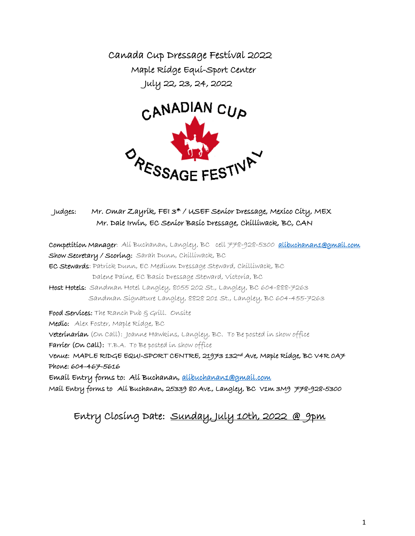Canada Cup Dressage Festival 2022 Maple Ridge Equi-Sport Center July 22, 23, 24, 2022



## Judges: Mr. Omar Zayrik, FEI 3\* / USEF Senior Dressage, Mexico City, MEX Mr. Dale Irwin, EC Senior Basic Dressage, Chilliwack, BC, CAN

Competition Manager: Ali Buchanan, Langley, BC cell 778-928-5300 [alibuchanan1@gmail.com](mailto:alibuchanan1@gmail.com) Show Secretary / Scoring: Sarah Dunn, Chilliwack, BC EC Stewards: Patrick Dunn, EC Medium Dressage Steward, Chilliwack, BC Dalene Paine, EC Basic Dressage Steward, Victoria, BC Host Hotels: Sandman Hotel Langley, 8055 202 St., Langley, BC 604-888-7263 Sandman Signature Langley, 8828 201 St., Langley, BC 604-455-7263 Food Services: The Ranch Pub & Grill. Onsite Medic: Alex Foster, Maple Ridge, BC Veterinarian (On Call): Joanne Hawkins, Langley, BC. To Be posted in show office Farrier (On Call): T.B.A. To Be posted in show office Venue: MAPLE RIDGE EQUI-SPORT CENTRE, 21973 132nd Ave, Maple Ridge, BC V4R 0A7 Phone: 604-467-5616 Email Entry forms to: Ali Buchanan, [alibuchanan1@gmail.com](mailto:alibuchanan1@gmail.com)  Mail Entry forms to Ali Buchanan, 25339 80 Ave., Langley, BC V1m 3M9 778-928-5300

# Entry Closing Date: Sunday, July 10th, 2022 @ 9pm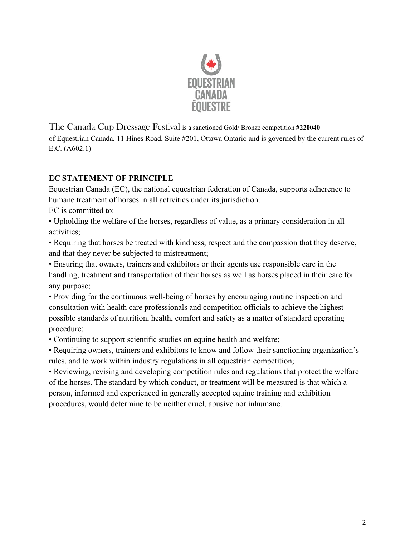

The Canada Cup Dressage Festival is a sanctioned Gold/ Bronze competition **#220040** of Equestrian Canada, 11 Hines Road, Suite #201, Ottawa Ontario and is governed by the current rules of E.C. (A602.1)

## **EC STATEMENT OF PRINCIPLE**

Equestrian Canada (EC), the national equestrian federation of Canada, supports adherence to humane treatment of horses in all activities under its jurisdiction.

EC is committed to:

• Upholding the welfare of the horses, regardless of value, as a primary consideration in all activities;

• Requiring that horses be treated with kindness, respect and the compassion that they deserve, and that they never be subjected to mistreatment;

• Ensuring that owners, trainers and exhibitors or their agents use responsible care in the handling, treatment and transportation of their horses as well as horses placed in their care for any purpose;

• Providing for the continuous well-being of horses by encouraging routine inspection and consultation with health care professionals and competition officials to achieve the highest possible standards of nutrition, health, comfort and safety as a matter of standard operating procedure;

• Continuing to support scientific studies on equine health and welfare;

• Requiring owners, trainers and exhibitors to know and follow their sanctioning organization's rules, and to work within industry regulations in all equestrian competition;

• Reviewing, revising and developing competition rules and regulations that protect the welfare of the horses. The standard by which conduct, or treatment will be measured is that which a person, informed and experienced in generally accepted equine training and exhibition procedures, would determine to be neither cruel, abusive nor inhumane.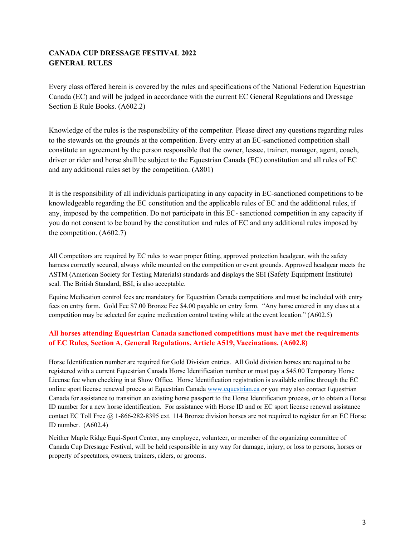## **CANADA CUP DRESSAGE FESTIVAL 2022 GENERAL RULES**

Every class offered herein is covered by the rules and specifications of the National Federation Equestrian Canada (EC) and will be judged in accordance with the current EC General Regulations and Dressage Section E Rule Books. (A602.2)

Knowledge of the rules is the responsibility of the competitor. Please direct any questions regarding rules to the stewards on the grounds at the competition. Every entry at an EC-sanctioned competition shall constitute an agreement by the person responsible that the owner, lessee, trainer, manager, agent, coach, driver or rider and horse shall be subject to the Equestrian Canada (EC) constitution and all rules of EC and any additional rules set by the competition. (A801)

It is the responsibility of all individuals participating in any capacity in EC-sanctioned competitions to be knowledgeable regarding the EC constitution and the applicable rules of EC and the additional rules, if any, imposed by the competition. Do not participate in this EC- sanctioned competition in any capacity if you do not consent to be bound by the constitution and rules of EC and any additional rules imposed by the competition. (A602.7)

All Competitors are required by EC rules to wear proper fitting, approved protection headgear, with the safety harness correctly secured, always while mounted on the competition or event grounds. Approved headgear meets the ASTM (American Society for Testing Materials) standards and displays the SEI (Safety Equipment Institute) seal. The British Standard, BSI, is also acceptable.

Equine Medication control fees are mandatory for Equestrian Canada competitions and must be included with entry fees on entry form. Gold Fee \$7.00 Bronze Fee \$4.00 payable on entry form. "Any horse entered in any class at a competition may be selected for equine medication control testing while at the event location." (A602.5)

## **All horses attending Equestrian Canada sanctioned competitions must have met the requirements of EC Rules, Section A, General Regulations, Article A519, Vaccinations. (A602.8)**

Horse Identification number are required for Gold Division entries. All Gold division horses are required to be registered with a current Equestrian Canada Horse Identification number or must pay a \$45.00 Temporary Horse License fee when checking in at Show Office. Horse Identification registration is available online through the EC online sport license renewal process at Equestrian Canada [www.equestrian.ca](http://www.equestrian.ca/) or you may also contact Equestrian Canada for assistance to transition an existing horse passport to the Horse Identification process, or to obtain a Horse ID number for a new horse identification. For assistance with Horse ID and or EC sport license renewal assistance contact EC Toll Free @ 1-866-282-8395 ext. 114 Bronze division horses are not required to register for an EC Horse ID number. (A602.4)

Neither Maple Ridge Equi-Sport Center, any employee, volunteer, or member of the organizing committee of Canada Cup Dressage Festival, will be held responsible in any way for damage, injury, or loss to persons, horses or property of spectators, owners, trainers, riders, or grooms.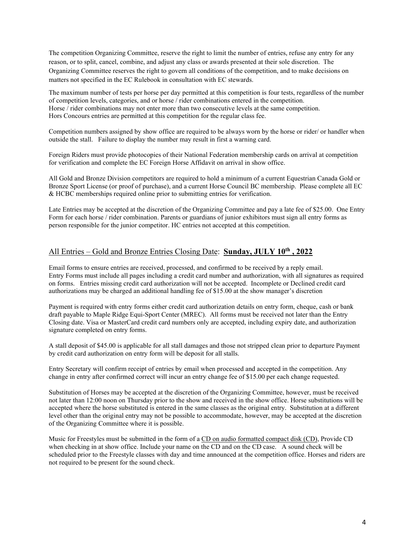The competition Organizing Committee, reserve the right to limit the number of entries, refuse any entry for any reason, or to split, cancel, combine, and adjust any class or awards presented at their sole discretion. The Organizing Committee reserves the right to govern all conditions of the competition, and to make decisions on matters not specified in the EC Rulebook in consultation with EC stewards.

The maximum number of tests per horse per day permitted at this competition is four tests, regardless of the number of competition levels, categories, and or horse / rider combinations entered in the competition. Horse / rider combinations may not enter more than two consecutive levels at the same competition. Hors Concours entries are permitted at this competition for the regular class fee.

Competition numbers assigned by show office are required to be always worn by the horse or rider/ or handler when outside the stall. Failure to display the number may result in first a warning card.

Foreign Riders must provide photocopies of their National Federation membership cards on arrival at competition for verification and complete the EC Foreign Horse Affidavit on arrival in show office.

All Gold and Bronze Division competitors are required to hold a minimum of a current Equestrian Canada Gold or Bronze Sport License (or proof of purchase), and a current Horse Council BC membership. Please complete all EC & HCBC memberships required online prior to submitting entries for verification.

Late Entries may be accepted at the discretion of the Organizing Committee and pay a late fee of \$25.00. One Entry Form for each horse / rider combination. Parents or guardians of junior exhibitors must sign all entry forms as person responsible for the junior competitor. HC entries not accepted at this competition.

### All Entries – Gold and Bronze Entries Closing Date: **Sunday, JULY 10th , 2022**

Email forms to ensure entries are received, processed, and confirmed to be received by a reply email. Entry Forms must include all pages including a credit card number and authorization, with all signatures as required on forms. Entries missing credit card authorization will not be accepted. Incomplete or Declined credit card authorizations may be charged an additional handling fee of \$15.00 at the show manager's discretion

Payment is required with entry forms either credit card authorization details on entry form, cheque, cash or bank draft payable to Maple Ridge Equi-Sport Center (MREC). All forms must be received not later than the Entry Closing date. Visa or MasterCard credit card numbers only are accepted, including expiry date, and authorization signature completed on entry forms.

A stall deposit of \$45.00 is applicable for all stall damages and those not stripped clean prior to departure Payment by credit card authorization on entry form will be deposit for all stalls.

Entry Secretary will confirm receipt of entries by email when processed and accepted in the competition. Any change in entry after confirmed correct will incur an entry change fee of \$15.00 per each change requested.

Substitution of Horses may be accepted at the discretion of the Organizing Committee, however, must be received not later than 12:00 noon on Thursday prior to the show and received in the show office. Horse substitutions will be accepted where the horse substituted is entered in the same classes as the original entry. Substitution at a different level other than the original entry may not be possible to accommodate, however, may be accepted at the discretion of the Organizing Committee where it is possible.

Music for Freestyles must be submitted in the form of a CD on audio formatted compact disk (CD), Provide CD when checking in at show office. Include your name on the CD and on the CD case. A sound check will be scheduled prior to the Freestyle classes with day and time announced at the competition office. Horses and riders are not required to be present for the sound check.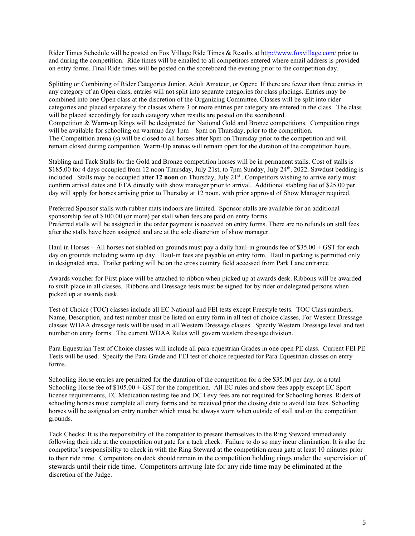Rider Times Schedule will be posted on Fox Village Ride Times & Results at [http://www.foxvillage.com/ p](http://www.foxvillage.com/)rior to and during the competition. Ride times will be emailed to all competitors entered where email address is provided on entry forms. Final Ride times will be posted on the scoreboard the evening prior to the competition day.

Splitting or Combining of Rider Categories Junior, Adult Amateur, or Open**:** If there are fewer than three entries in any category of an Open class, entries will not split into separate categories for class placings. Entries may be combined into one Open class at the discretion of the Organizing Committee. Classes will be split into rider categories and placed separately for classes where 3 or more entries per category are entered in the class. The class will be placed accordingly for each category when results are posted on the scoreboard. Competition & Warm-up Rings will be designated for National Gold and Bronze competitions. Competition rings will be available for schooling on warmup day  $1pm - 8pm$  on Thursday, prior to the competition. The Competition arena (s) will be closed to all horses after 8pm on Thursday prior to the competition and will remain closed during competition. Warm-Up arenas will remain open for the duration of the competition hours.

Stabling and Tack Stalls for the Gold and Bronze competition horses will be in permanent stalls. Cost of stalls is \$185.00 for 4 days occupied from 12 noon Thursday, July 21st, to 7pm Sunday, July 24<sup>th</sup>, 2022. Sawdust bedding is included. Stalls may be occupied after 12 noon on Thursday, July 21<sup>st</sup>. Competitors wishing to arrive early must confirm arrival dates and ETA directly with show manager prior to arrival. Additional stabling fee of \$25.00 per day will apply for horses arriving prior to Thursday at 12 noon, with prior approval of Show Manager required.

Preferred Sponsor stalls with rubber mats indoors are limited. Sponsor stalls are available for an additional sponsorship fee of \$100.00 (or more) per stall when fees are paid on entry forms. Preferred stalls will be assigned in the order payment is received on entry forms. There are no refunds on stall fees after the stalls have been assigned and are at the sole discretion of show manager.

Haul in Horses – All horses not stabled on grounds must pay a daily haul-in grounds fee of \$35.00 + GST for each day on grounds including warm up day. Haul-in fees are payable on entry form. Haul in parking is permitted only in designated area. Trailer parking will be on the cross country field accessed from Park Lane entrance

Awards voucher for First place will be attached to ribbon when picked up at awards desk. Ribbons will be awarded to sixth place in all classes. Ribbons and Dressage tests must be signed for by rider or delegated persons when picked up at awards desk.

Test of Choice (TOC**)** classes include all EC National and FEI tests except Freestyle tests. TOC Class numbers, Name, Description, and test number must be listed on entry form in all test of choice classes. For Western Dressage classes WDAA dressage tests will be used in all Western Dressage classes. Specify Western Dressage level and test number on entry forms. The current WDAA Rules will govern western dressage division.

Para Equestrian Test of Choice classes will include all para-equestrian Grades in one open PE class. Current FEI PE Tests will be used. Specify the Para Grade and FEI test of choice requested for Para Equestrian classes on entry forms.

Schooling Horse entries are permitted for the duration of the competition for a fee \$35.00 per day, or a total Schooling Horse fee of  $$105.00 + GST$  for the competition. All EC rules and show fees apply except EC Sport license requirements, EC Medication testing fee and DC Levy fees are not required for Schooling horses. Riders of schooling horses must complete all entry forms and be received prior the closing date to avoid late fees. Schooling horses will be assigned an entry number which must be always worn when outside of stall and on the competition grounds.

Tack Checks: It is the responsibility of the competitor to present themselves to the Ring Steward immediately following their ride at the competition out gate for a tack check. Failure to do so may incur elimination. It is also the competitor's responsibility to check in with the Ring Steward at the competition arena gate at least 10 minutes prior to their ride time. Competitors on deck should remain in the competition holding rings under the supervision of stewards until their ride time. Competitors arriving late for any ride time may be eliminated at the discretion of the Judge.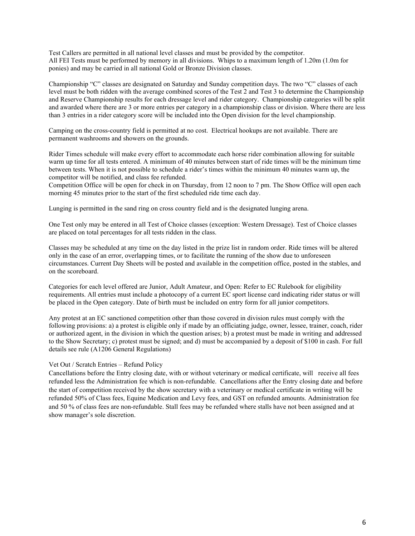Test Callers are permitted in all national level classes and must be provided by the competitor. All FEI Tests must be performed by memory in all divisions. Whips to a maximum length of 1.20m (1.0m for ponies) and may be carried in all national Gold or Bronze Division classes.

Championship "C" classes are designated on Saturday and Sunday competition days. The two "C" classes of each level must be both ridden with the average combined scores of the Test 2 and Test 3 to determine the Championship and Reserve Championship results for each dressage level and rider category. Championship categories will be split and awarded where there are 3 or more entries per category in a championship class or division. Where there are less than 3 entries in a rider category score will be included into the Open division for the level championship.

Camping on the cross-country field is permitted at no cost. Electrical hookups are not available. There are permanent washrooms and showers on the grounds.

Rider Times schedule will make every effort to accommodate each horse rider combination allowing for suitable warm up time for all tests entered. A minimum of 40 minutes between start of ride times will be the minimum time between tests. When it is not possible to schedule a rider's times within the minimum 40 minutes warm up, the competitor will be notified, and class fee refunded.

Competition Office will be open for check in on Thursday, from 12 noon to 7 pm. The Show Office will open each morning 45 minutes prior to the start of the first scheduled ride time each day.

Lunging is permitted in the sand ring on cross country field and is the designated lunging arena.

One Test only may be entered in all Test of Choice classes (exception: Western Dressage). Test of Choice classes are placed on total percentages for all tests ridden in the class.

Classes may be scheduled at any time on the day listed in the prize list in random order. Ride times will be altered only in the case of an error, overlapping times, or to facilitate the running of the show due to unforeseen circumstances. Current Day Sheets will be posted and available in the competition office, posted in the stables, and on the scoreboard.

Categories for each level offered are Junior, Adult Amateur, and Open: Refer to EC Rulebook for eligibility requirements. All entries must include a photocopy of a current EC sport license card indicating rider status or will be placed in the Open category. Date of birth must be included on entry form for all junior competitors.

Any protest at an EC sanctioned competition other than those covered in division rules must comply with the following provisions: a) a protest is eligible only if made by an officiating judge, owner, lessee, trainer, coach, rider or authorized agent, in the division in which the question arises; b) a protest must be made in writing and addressed to the Show Secretary; c) protest must be signed; and d) must be accompanied by a deposit of \$100 in cash. For full details see rule (A1206 General Regulations)

#### Vet Out / Scratch Entries – Refund Policy

Cancellations before the Entry closing date, with or without veterinary or medical certificate, will receive all fees refunded less the Administration fee which is non-refundable. Cancellations after the Entry closing date and before the start of competition received by the show secretary with a veterinary or medical certificate in writing will be refunded 50% of Class fees, Equine Medication and Levy fees, and GST on refunded amounts. Administration fee and 50 % of class fees are non-refundable. Stall fees may be refunded where stalls have not been assigned and at show manager's sole discretion.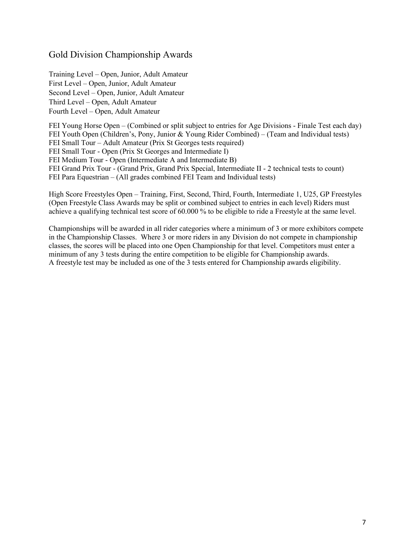## Gold Division Championship Awards

Training Level – Open, Junior, Adult Amateur First Level – Open, Junior, Adult Amateur Second Level – Open, Junior, Adult Amateur Third Level – Open, Adult Amateur Fourth Level – Open, Adult Amateur

FEI Young Horse Open – (Combined or split subject to entries for Age Divisions - Finale Test each day) FEI Youth Open (Children's, Pony, Junior & Young Rider Combined) – (Team and Individual tests) FEI Small Tour – Adult Amateur (Prix St Georges tests required) FEI Small Tour - Open (Prix St Georges and Intermediate I) FEI Medium Tour - Open (Intermediate A and Intermediate B) FEI Grand Prix Tour - (Grand Prix, Grand Prix Special, Intermediate II - 2 technical tests to count) FEI Para Equestrian – (All grades combined FEI Team and Individual tests)

High Score Freestyles Open – Training, First, Second, Third, Fourth, Intermediate 1, U25, GP Freestyles (Open Freestyle Class Awards may be split or combined subject to entries in each level) Riders must achieve a qualifying technical test score of 60.000 % to be eligible to ride a Freestyle at the same level.

Championships will be awarded in all rider categories where a minimum of 3 or more exhibitors compete in the Championship Classes. Where 3 or more riders in any Division do not compete in championship classes, the scores will be placed into one Open Championship for that level. Competitors must enter a minimum of any 3 tests during the entire competition to be eligible for Championship awards. A freestyle test may be included as one of the 3 tests entered for Championship awards eligibility.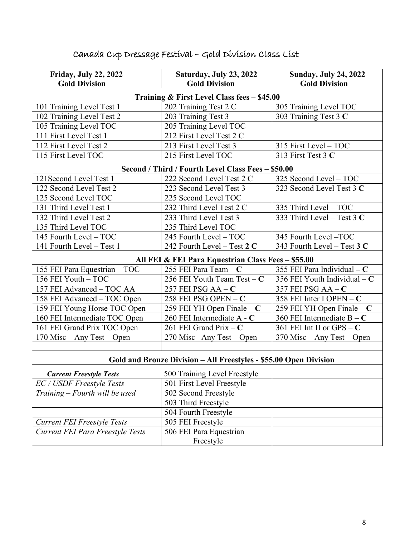| <b>Friday, July 22, 2022</b>                                      | Saturday, July 23, 2022                            | <b>Sunday, July 24, 2022</b>  |  |  |  |  |
|-------------------------------------------------------------------|----------------------------------------------------|-------------------------------|--|--|--|--|
| <b>Gold Division</b>                                              | <b>Gold Division</b>                               | <b>Gold Division</b>          |  |  |  |  |
| Training & First Level Class fees - \$45.00                       |                                                    |                               |  |  |  |  |
| 101 Training Level Test 1                                         | 202 Training Test 2 C                              | 305 Training Level TOC        |  |  |  |  |
| 102 Training Level Test 2                                         | 203 Training Test 3                                | 303 Training Test 3 C         |  |  |  |  |
| 105 Training Level TOC                                            | 205 Training Level TOC                             |                               |  |  |  |  |
| 111 First Level Test 1                                            | 212 First Level Test 2 C                           |                               |  |  |  |  |
| 112 First Level Test 2                                            | 213 First Level Test 3                             | 315 First Level - TOC         |  |  |  |  |
| 115 First Level TOC                                               | 215 First Level TOC                                | 313 First Test 3 C            |  |  |  |  |
| Second / Third / Fourth Level Class Fees - \$50.00                |                                                    |                               |  |  |  |  |
| 121 Second Level Test 1                                           | 222 Second Level Test 2 C                          | 325 Second Level - TOC        |  |  |  |  |
| 122 Second Level Test 2                                           | 223 Second Level Test 3                            | 323 Second Level Test 3 C     |  |  |  |  |
| 125 Second Level TOC                                              | 225 Second Level TOC                               |                               |  |  |  |  |
| 131 Third Level Test 1                                            | 232 Third Level Test 2 C                           | 335 Third Level - TOC         |  |  |  |  |
| 132 Third Level Test 2                                            | 233 Third Level Test 3                             | 333 Third Level - Test 3 C    |  |  |  |  |
| 135 Third Level TOC                                               | 235 Third Level TOC                                |                               |  |  |  |  |
| 145 Fourth Level - TOC                                            | 245 Fourth Level - TOC                             | 345 Fourth Level -TOC         |  |  |  |  |
| 141 Fourth Level - Test 1                                         | 242 Fourth Level – Test $2 C$                      | 343 Fourth Level – Test $3C$  |  |  |  |  |
|                                                                   | All FEI & FEI Para Equestrian Class Fees - \$55.00 |                               |  |  |  |  |
| 155 FEI Para Equestrian - TOC                                     | 255 FEI Para Team - C                              | 355 FEI Para Individual - C   |  |  |  |  |
| 156 FEI Youth - TOC                                               | 256 FEI Youth Team Test - C                        | 356 FEI Youth Individual $-C$ |  |  |  |  |
| 157 FEI Advanced - TOC AA                                         | 257 FEI PSG AA $-$ C                               | 357 FEI PSG $AA - C$          |  |  |  |  |
| 158 FEI Advanced - TOC Open                                       | 258 FEI PSG OPEN - C                               | 358 FEI Inter I OPEN $- C$    |  |  |  |  |
| 159 FEI Young Horse TOC Open                                      | 259 FEI YH Open Finale $-C$                        | 259 FEI YH Open Finale $-C$   |  |  |  |  |
| 160 FEI Intermediate TOC Open                                     | 260 FEI Intermediate A - C                         | 360 FEI Intermediate $B - C$  |  |  |  |  |
| 161 FEI Grand Prix TOC Open                                       | 261 FEI Grand Prix - C                             | 361 FEI Int II or GPS $- C$   |  |  |  |  |
| 170 Misc - Any Test - Open                                        | 270 Misc - Any Test - Open                         | $370$ Misc – Any Test – Open  |  |  |  |  |
|                                                                   |                                                    |                               |  |  |  |  |
| Gold and Bronze Division - All Freestyles - \$55.00 Open Division |                                                    |                               |  |  |  |  |
| <b>Current Freestyle Tests</b>                                    | 500 Training Level Freestyle                       |                               |  |  |  |  |
| EC / USDF Freestyle Tests                                         | 501 First Level Freestyle                          |                               |  |  |  |  |
| Training – Fourth will be used                                    | 502 Second Freestyle                               |                               |  |  |  |  |
|                                                                   | 503 Third Freestyle                                |                               |  |  |  |  |
|                                                                   | 504 Fourth Freestyle                               |                               |  |  |  |  |
| <b>Current FEI Freestyle Tests</b>                                | 505 FEI Freestyle                                  |                               |  |  |  |  |
| Current FEI Para Freestyle Tests                                  | 506 FEI Para Equestrian                            |                               |  |  |  |  |
|                                                                   | Freestyle                                          |                               |  |  |  |  |

# Canada Cup Dressage Festival – Gold Division Class List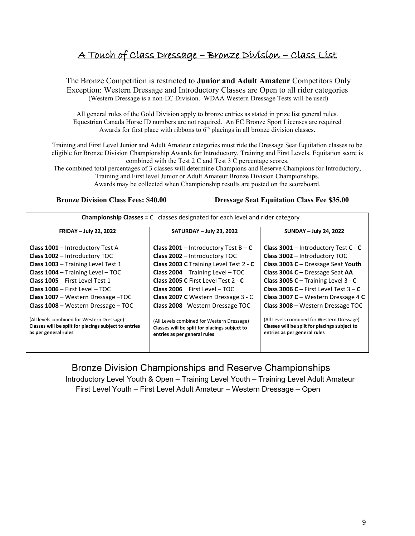## A Touch of Class Dressage – Bronze Division – Class List

The Bronze Competition is restricted to **Junior and Adult Amateur** Competitors Only Exception: Western Dressage and Introductory Classes are Open to all rider categories (Western Dressage is a non-EC Division. WDAA Western Dressage Tests will be used)

All general rules of the Gold Division apply to bronze entries as stated in prize list general rules. Equestrian Canada Horse ID numbers are not required. An EC Bronze Sport Licenses are required Awards for first place with ribbons to 6<sup>th</sup> placings in all bronze division classes.

Training and First Level Junior and Adult Amateur categories must ride the Dressage Seat Equitation classes to be eligible for Bronze Division Championship Awards for Introductory, Training and First Levels. Equitation score is combined with the Test 2 C and Test 3 C percentage scores.

The combined total percentages of 3 classes will determine Champions and Reserve Champions for Introductory, Training and First level Junior or Adult Amateur Bronze Division Championships. Awards may be collected when Championship results are posted on the scoreboard.

 **Bronze Division Class Fees: \$40.00 Dressage Seat Equitation Class Fee \$35.00** 

| <b>Championship Classes = C</b> classes designated for each level and rider category |                                               |                                               |  |  |  |  |
|--------------------------------------------------------------------------------------|-----------------------------------------------|-----------------------------------------------|--|--|--|--|
| <b>FRIDAY - July 22, 2022</b>                                                        | SATURDAY - July 23, 2022                      | <b>SUNDAY - July 24, 2022</b>                 |  |  |  |  |
| <b>Class 1001</b> - Introductory Test A                                              | Class 2001 - Introductory Test $B - C$        | <b>Class 3001</b> - Introductory Test $C - C$ |  |  |  |  |
| Class 1002 - Introductory TOC                                                        | Class 2002 - Introductory TOC                 | Class 3002 - Introductory TOC                 |  |  |  |  |
| Class 1003 - Training Level Test 1                                                   | Class 2003 C Training Level Test 2 - C        | Class 3003 C - Dressage Seat Youth            |  |  |  |  |
| Class 1004 - Training Level - TOC                                                    | <b>Class 2004</b> Training Level - TOC        | Class 3004 C - Dressage Seat AA               |  |  |  |  |
| <b>Class 1005</b> First Level Test 1                                                 | Class 2005 C First Level Test 2 - C           | Class 3005 C – Training Level $3 - C$         |  |  |  |  |
| Class $1006 -$ First Level $-$ TOC                                                   | $Class 2006$ First Level - TOC                | <b>Class 3006 C – First Level Test 3 – C</b>  |  |  |  |  |
| Class 1007 - Western Dressage - TOC                                                  | Class 2007 C Western Dressage 3 - C           | Class 3007 C – Western Dressage 4 C           |  |  |  |  |
| Class 1008 - Western Dressage - TOC                                                  | Class 2008 Western Dressage TOC               | Class 3008 - Western Dressage TOC             |  |  |  |  |
| (All levels combined for Western Dressage)                                           | (All Levels combined for Western Dressage)    | (All Levels combined for Western Dressage)    |  |  |  |  |
| Classes will be split for placings subject to entries                                | Classes will be split for placings subject to | Classes will be split for placings subject to |  |  |  |  |
| as per general rules                                                                 | entries as per general rules                  | entries as per general rules                  |  |  |  |  |

 Bronze Division Championships and Reserve Championships Introductory Level Youth & Open – Training Level Youth – Training Level Adult Amateur First Level Youth – First Level Adult Amateur – Western Dressage – Open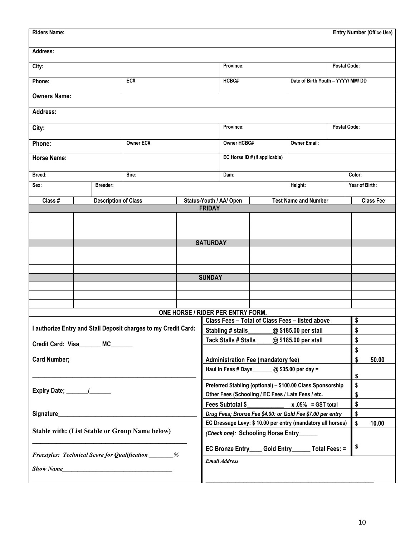| <b>Riders Name:</b>                                            |                                                                                      |                                                            |                                                             |  |                                                    |                                    |              |                             |        |                | <b>Entry Number (Office Use)</b> |
|----------------------------------------------------------------|--------------------------------------------------------------------------------------|------------------------------------------------------------|-------------------------------------------------------------|--|----------------------------------------------------|------------------------------------|--------------|-----------------------------|--------|----------------|----------------------------------|
| Address:                                                       |                                                                                      |                                                            |                                                             |  |                                                    |                                    |              |                             |        |                |                                  |
| City:                                                          |                                                                                      |                                                            | Province:                                                   |  |                                                    |                                    | Postal Code: |                             |        |                |                                  |
| Phone:                                                         | EC#                                                                                  |                                                            | HCBC#                                                       |  |                                                    | Date of Birth Youth - YYYY/ MM/ DD |              |                             |        |                |                                  |
| <b>Owners Name:</b>                                            |                                                                                      |                                                            |                                                             |  |                                                    |                                    |              |                             |        |                |                                  |
| Address:                                                       |                                                                                      |                                                            |                                                             |  |                                                    |                                    |              |                             |        |                |                                  |
| City:                                                          |                                                                                      |                                                            | Province:                                                   |  |                                                    | <b>Postal Code:</b>                |              |                             |        |                |                                  |
| Owner EC#<br>Phone:                                            |                                                                                      |                                                            | <b>Owner HCBC#</b><br><b>Owner Email:</b>                   |  |                                                    |                                    |              |                             |        |                |                                  |
| <b>Horse Name:</b>                                             |                                                                                      |                                                            | EC Horse ID # (If applicable)                               |  |                                                    |                                    |              |                             |        |                |                                  |
| Breed:                                                         |                                                                                      |                                                            | Sire:                                                       |  | Dam:                                               |                                    |              |                             | Color: |                |                                  |
| Sex:                                                           |                                                                                      | Breeder:                                                   |                                                             |  |                                                    |                                    |              | Height:                     |        | Year of Birth: |                                  |
| Class #                                                        |                                                                                      | <b>Description of Class</b>                                |                                                             |  | Status-Youth / AA/ Open                            |                                    |              | <b>Test Name and Number</b> |        |                | <b>Class Fee</b>                 |
|                                                                |                                                                                      |                                                            |                                                             |  | <b>FRIDAY</b>                                      |                                    |              |                             |        |                |                                  |
|                                                                |                                                                                      |                                                            |                                                             |  |                                                    |                                    |              |                             |        |                |                                  |
|                                                                |                                                                                      |                                                            |                                                             |  |                                                    |                                    |              |                             |        |                |                                  |
|                                                                |                                                                                      |                                                            |                                                             |  | <b>SATURDAY</b>                                    |                                    |              |                             |        |                |                                  |
|                                                                |                                                                                      |                                                            |                                                             |  |                                                    |                                    |              |                             |        |                |                                  |
|                                                                |                                                                                      |                                                            |                                                             |  |                                                    |                                    |              |                             |        |                |                                  |
|                                                                |                                                                                      |                                                            |                                                             |  |                                                    |                                    |              |                             |        |                |                                  |
|                                                                |                                                                                      |                                                            |                                                             |  | <b>SUNDAY</b>                                      |                                    |              |                             |        |                |                                  |
|                                                                |                                                                                      |                                                            |                                                             |  |                                                    |                                    |              |                             |        |                |                                  |
|                                                                |                                                                                      |                                                            |                                                             |  |                                                    |                                    |              |                             |        |                |                                  |
|                                                                |                                                                                      |                                                            |                                                             |  |                                                    |                                    |              |                             |        |                |                                  |
|                                                                | ONE HORSE / RIDER PER ENTRY FORM.<br>Class Fees - Total of Class Fees - listed above |                                                            |                                                             |  |                                                    | \$                                 |              |                             |        |                |                                  |
| I authorize Entry and Stall Deposit charges to my Credit Card: |                                                                                      |                                                            | Stabling # stalls____<br>@ \$185.00 per stall               |  |                                                    | \$                                 |              |                             |        |                |                                  |
|                                                                |                                                                                      | Tack Stalls # Stalls<br>@ \$185.00 per stall               |                                                             |  | \$                                                 |                                    |              |                             |        |                |                                  |
|                                                                | Credit Card: Visa_______ MC_______                                                   |                                                            |                                                             |  |                                                    |                                    |              |                             | \$     |                |                                  |
| <b>Card Number;</b>                                            |                                                                                      | <b>Administration Fee (mandatory fee)</b>                  |                                                             |  |                                                    | \$                                 | 50.00        |                             |        |                |                                  |
|                                                                |                                                                                      | Haul in Fees # Days _______ @ \$35.00 per day =            |                                                             |  |                                                    | \$                                 |              |                             |        |                |                                  |
|                                                                |                                                                                      | Preferred Stabling (optional) - \$100.00 Class Sponsorship |                                                             |  |                                                    | \$                                 |              |                             |        |                |                                  |
|                                                                |                                                                                      | Other Fees (Schooling / EC Fees / Late Fees / etc.         |                                                             |  |                                                    | \$                                 |              |                             |        |                |                                  |
|                                                                |                                                                                      | Fees Subtotal \$<br>$x.05% = GST$ total                    |                                                             |  |                                                    | \$                                 |              |                             |        |                |                                  |
|                                                                |                                                                                      | Drug Fees; Bronze Fee \$4.00: or Gold Fee \$7.00 per entry |                                                             |  |                                                    | \$                                 |              |                             |        |                |                                  |
| <b>Stable with: (List Stable or Group Name below)</b>          |                                                                                      |                                                            | EC Dressage Levy: \$ 10.00 per entry (mandatory all horses) |  |                                                    |                                    | $\mathsf{s}$ | 10.00                       |        |                |                                  |
|                                                                |                                                                                      |                                                            | (Check one): Schooling Horse Entry_____                     |  |                                                    |                                    |              |                             |        |                |                                  |
|                                                                |                                                                                      |                                                            | <b>Freestyles: Technical Score for Qualification</b> %      |  | EC Bronze Entry____ Gold Entry______ Total Fees: = |                                    |              | $\blacksquare$              |        |                |                                  |
| Show Name                                                      |                                                                                      |                                                            | <b>Email Address</b>                                        |  |                                                    |                                    |              |                             |        |                |                                  |
|                                                                |                                                                                      |                                                            |                                                             |  |                                                    |                                    |              |                             |        |                |                                  |